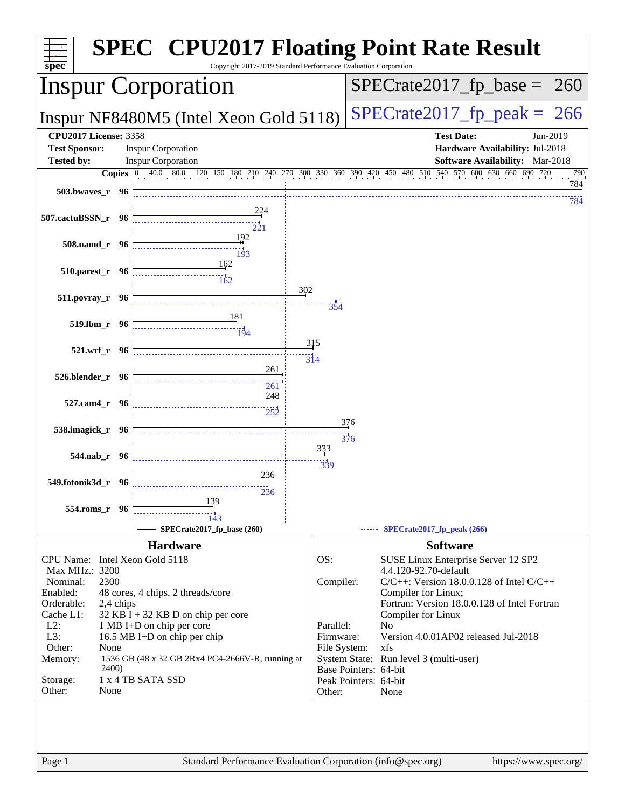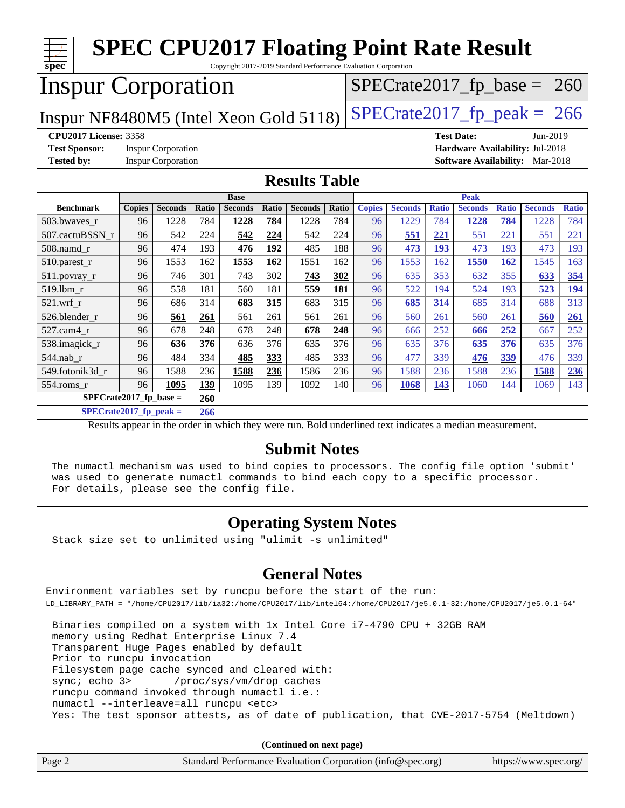| <b>SPEC CPU2017 Floating Point Rate Result</b><br>Copyright 2017-2019 Standard Performance Evaluation Corporation |                                                                                                          |                           |       |                |       |                |       |               |                |              |                |              |                                        |              |
|-------------------------------------------------------------------------------------------------------------------|----------------------------------------------------------------------------------------------------------|---------------------------|-------|----------------|-------|----------------|-------|---------------|----------------|--------------|----------------|--------------|----------------------------------------|--------------|
| spec <sup>®</sup>                                                                                                 |                                                                                                          |                           |       |                |       |                |       |               |                |              |                |              |                                        |              |
| <b>Inspur Corporation</b><br>$SPECTate2017_fp\_base = 260$                                                        |                                                                                                          |                           |       |                |       |                |       |               |                |              |                |              |                                        |              |
| $SPECTate2017$ _fp_peak = 266<br>Inspur NF8480M5 (Intel Xeon Gold 5118)                                           |                                                                                                          |                           |       |                |       |                |       |               |                |              |                |              |                                        |              |
| <b>CPU2017 License: 3358</b><br><b>Test Date:</b><br>Jun-2019                                                     |                                                                                                          |                           |       |                |       |                |       |               |                |              |                |              |                                        |              |
| <b>Test Sponsor:</b>                                                                                              |                                                                                                          | <b>Inspur Corporation</b> |       |                |       |                |       |               |                |              |                |              | Hardware Availability: Jul-2018        |              |
| <b>Tested by:</b>                                                                                                 |                                                                                                          | <b>Inspur Corporation</b> |       |                |       |                |       |               |                |              |                |              | <b>Software Availability:</b> Mar-2018 |              |
| <b>Results Table</b>                                                                                              |                                                                                                          |                           |       |                |       |                |       |               |                |              |                |              |                                        |              |
|                                                                                                                   | <b>Peak</b><br><b>Base</b>                                                                               |                           |       |                |       |                |       |               |                |              |                |              |                                        |              |
| <b>Benchmark</b>                                                                                                  | <b>Copies</b>                                                                                            | <b>Seconds</b>            | Ratio | <b>Seconds</b> | Ratio | <b>Seconds</b> | Ratio | <b>Copies</b> | <b>Seconds</b> | <b>Ratio</b> | <b>Seconds</b> | <b>Ratio</b> | <b>Seconds</b>                         | <b>Ratio</b> |
| 503.bwaves r                                                                                                      | 96                                                                                                       | 1228                      | 784   | 1228           | 784   | 1228           | 784   | 96            | 1229           | 784          | 1228           | 784          | 1228                                   | 784          |
| 507.cactuBSSN_r                                                                                                   | 96                                                                                                       | 542                       | 224   | 542            | 224   | 542            | 224   | 96            | 551            | 221          | 551            | 221          | 551                                    | 221          |
| 508.namd_r                                                                                                        | 96                                                                                                       | 474                       | 193   | 476            | 192   | 485            | 188   | 96            | 473            | 193          | 473            | 193          | 473                                    | 193          |
| 510.parest_r                                                                                                      | 96                                                                                                       | 1553                      | 162   | 1553           | 162   | 1551           | 162   | 96            | 1553           | 162          | 1550           | <b>162</b>   | 1545                                   | 163          |
| $511.$ povray_r                                                                                                   | 96                                                                                                       | 746                       | 301   | 743            | 302   | 743            | 302   | 96            | 635            | 353          | 632            | 355          | 633                                    | 354          |
| 519.1bm_r                                                                                                         | 96                                                                                                       | 558                       | 181   | 560            | 181   | 559            | 181   | 96            | 522            | 194          | 524            | 193          | 523                                    | 194          |
| 521.wrf r                                                                                                         | 96                                                                                                       | 686                       | 314   | 683            | 315   | 683            | 315   | 96            | 685            | 314          | 685            | 314          | 688                                    | 313          |
| 526.blender r                                                                                                     | 96                                                                                                       | 561                       | 261   | 561            | 261   | 561            | 261   | 96            | 560            | 261          | 560            | 261          | 560                                    | 261          |
| 527.cam4_r                                                                                                        | 96                                                                                                       | 678                       | 248   | 678            | 248   | 678            | 248   | 96            | 666            | 252          | 666            | 252          | 667                                    | 252          |
| 538.imagick_r                                                                                                     | 96                                                                                                       | 636                       | 376   | 636            | 376   | 635            | 376   | 96            | 635            | 376          | 635            | 376          | 635                                    | 376          |
| 544.nab r                                                                                                         | 96                                                                                                       | 484                       | 334   | 485            | 333   | 485            | 333   | 96            | 477            | 339          | 476            | 339          | 476                                    | 339          |
| 549.fotonik3d r                                                                                                   | 96                                                                                                       | 1588                      | 236   | 1588           | 236   | 1586           | 236   | 96            | 1588           | 236          | 1588           | 236          | 1588                                   | 236          |
| $554$ .roms_r                                                                                                     | 96                                                                                                       | 1095                      | 139   | 1095           | 139   | 1092           | 140   | 96            | 1068           | 143          | 1060           | 144          | 1069                                   | 143          |
| $SPECrate2017_fp\_base =$                                                                                         |                                                                                                          |                           | 260   |                |       |                |       |               |                |              |                |              |                                        |              |
| $SPECrate2017_fp_peak =$                                                                                          |                                                                                                          |                           | 266   |                |       |                |       |               |                |              |                |              |                                        |              |
|                                                                                                                   |                                                                                                          |                           |       |                |       |                |       |               |                |              |                |              |                                        |              |
|                                                                                                                   | Results appear in the order in which they were run. Bold underlined text indicates a median measurement. |                           |       |                |       |                |       |               |                |              |                |              |                                        |              |

#### **[Submit Notes](http://www.spec.org/auto/cpu2017/Docs/result-fields.html#SubmitNotes)**

 The numactl mechanism was used to bind copies to processors. The config file option 'submit' was used to generate numactl commands to bind each copy to a specific processor. For details, please see the config file.

#### **[Operating System Notes](http://www.spec.org/auto/cpu2017/Docs/result-fields.html#OperatingSystemNotes)**

Stack size set to unlimited using "ulimit -s unlimited"

### **[General Notes](http://www.spec.org/auto/cpu2017/Docs/result-fields.html#GeneralNotes)**

Environment variables set by runcpu before the start of the run: LD\_LIBRARY\_PATH = "/home/CPU2017/lib/ia32:/home/CPU2017/lib/intel64:/home/CPU2017/je5.0.1-32:/home/CPU2017/je5.0.1-64"

 Binaries compiled on a system with 1x Intel Core i7-4790 CPU + 32GB RAM memory using Redhat Enterprise Linux 7.4 Transparent Huge Pages enabled by default Prior to runcpu invocation Filesystem page cache synced and cleared with: sync; echo 3> /proc/sys/vm/drop\_caches runcpu command invoked through numactl i.e.: numactl --interleave=all runcpu <etc> Yes: The test sponsor attests, as of date of publication, that CVE-2017-5754 (Meltdown)

**(Continued on next page)**

|  | Page 2 | Standard Performance Evaluation Corporation (info@spec.org) | https://www.spec.org/ |
|--|--------|-------------------------------------------------------------|-----------------------|
|--|--------|-------------------------------------------------------------|-----------------------|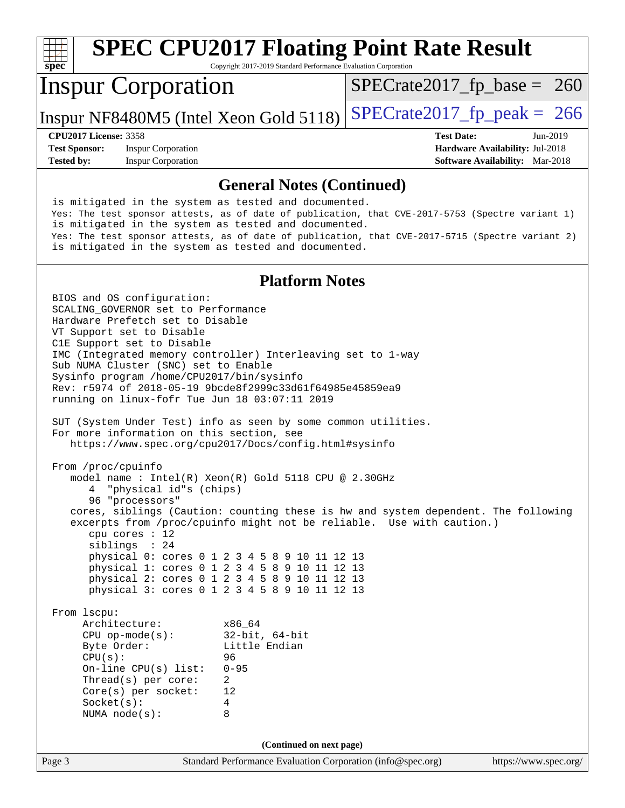#### Page 3 Standard Performance Evaluation Corporation [\(info@spec.org\)](mailto:info@spec.org) <https://www.spec.org/> **[spec](http://www.spec.org/) [SPEC CPU2017 Floating Point Rate Result](http://www.spec.org/auto/cpu2017/Docs/result-fields.html#SPECCPU2017FloatingPointRateResult)** Copyright 2017-2019 Standard Performance Evaluation Corporation Inspur Corporation Inspur NF8480M5 (Intel Xeon Gold 5118)  $|SPECrate2017_fp_peak = 266$  $|SPECrate2017_fp_peak = 266$  $|SPECrate2017_fp_peak = 266$  $SPECTate2017_fp\_base = 260$ **[CPU2017 License:](http://www.spec.org/auto/cpu2017/Docs/result-fields.html#CPU2017License)** 3358 **[Test Date:](http://www.spec.org/auto/cpu2017/Docs/result-fields.html#TestDate)** Jun-2019 **[Test Sponsor:](http://www.spec.org/auto/cpu2017/Docs/result-fields.html#TestSponsor)** Inspur Corporation **[Hardware Availability:](http://www.spec.org/auto/cpu2017/Docs/result-fields.html#HardwareAvailability)** Jul-2018 **[Tested by:](http://www.spec.org/auto/cpu2017/Docs/result-fields.html#Testedby)** Inspur Corporation **[Software Availability:](http://www.spec.org/auto/cpu2017/Docs/result-fields.html#SoftwareAvailability)** Mar-2018 **[General Notes \(Continued\)](http://www.spec.org/auto/cpu2017/Docs/result-fields.html#GeneralNotes)** is mitigated in the system as tested and documented. Yes: The test sponsor attests, as of date of publication, that CVE-2017-5753 (Spectre variant 1) is mitigated in the system as tested and documented. Yes: The test sponsor attests, as of date of publication, that CVE-2017-5715 (Spectre variant 2) is mitigated in the system as tested and documented. **[Platform Notes](http://www.spec.org/auto/cpu2017/Docs/result-fields.html#PlatformNotes)** BIOS and OS configuration: SCALING\_GOVERNOR set to Performance Hardware Prefetch set to Disable VT Support set to Disable C1E Support set to Disable IMC (Integrated memory controller) Interleaving set to 1-way Sub NUMA Cluster (SNC) set to Enable Sysinfo program /home/CPU2017/bin/sysinfo Rev: r5974 of 2018-05-19 9bcde8f2999c33d61f64985e45859ea9 running on linux-fofr Tue Jun 18 03:07:11 2019 SUT (System Under Test) info as seen by some common utilities. For more information on this section, see <https://www.spec.org/cpu2017/Docs/config.html#sysinfo> From /proc/cpuinfo model name : Intel(R) Xeon(R) Gold 5118 CPU @ 2.30GHz 4 "physical id"s (chips) 96 "processors" cores, siblings (Caution: counting these is hw and system dependent. The following excerpts from /proc/cpuinfo might not be reliable. Use with caution.) cpu cores : 12 siblings : 24 physical 0: cores 0 1 2 3 4 5 8 9 10 11 12 13 physical 1: cores 0 1 2 3 4 5 8 9 10 11 12 13 physical 2: cores 0 1 2 3 4 5 8 9 10 11 12 13 physical 3: cores 0 1 2 3 4 5 8 9 10 11 12 13 From lscpu: Architecture: x86\_64<br>
CPU op-mode(s): 32-bit, 64-bit CPU op-mode(s):<br>Byte Order: Little Endian CPU(s): 96 On-line CPU(s) list: 0-95 Thread(s) per core: 2 Core(s) per socket: 12 Socket(s): 4 NUMA node(s): 8 **(Continued on next page)**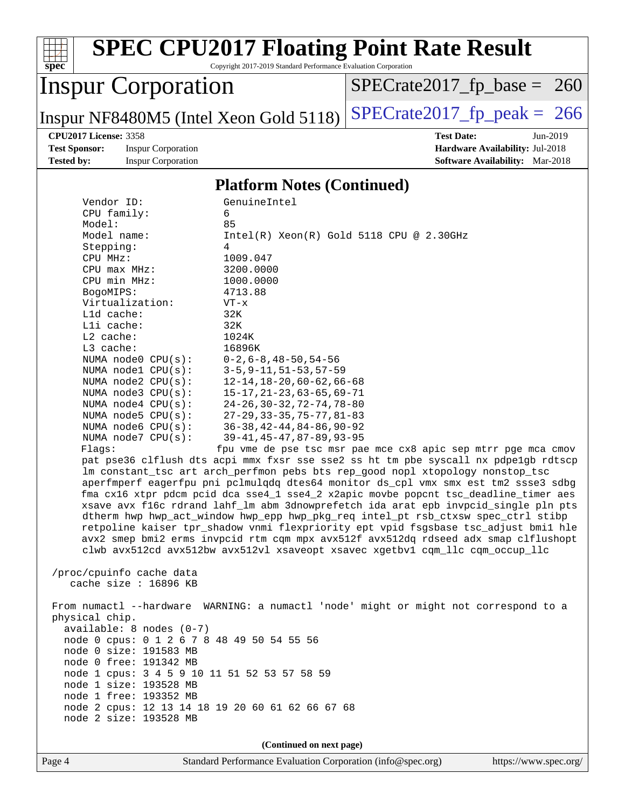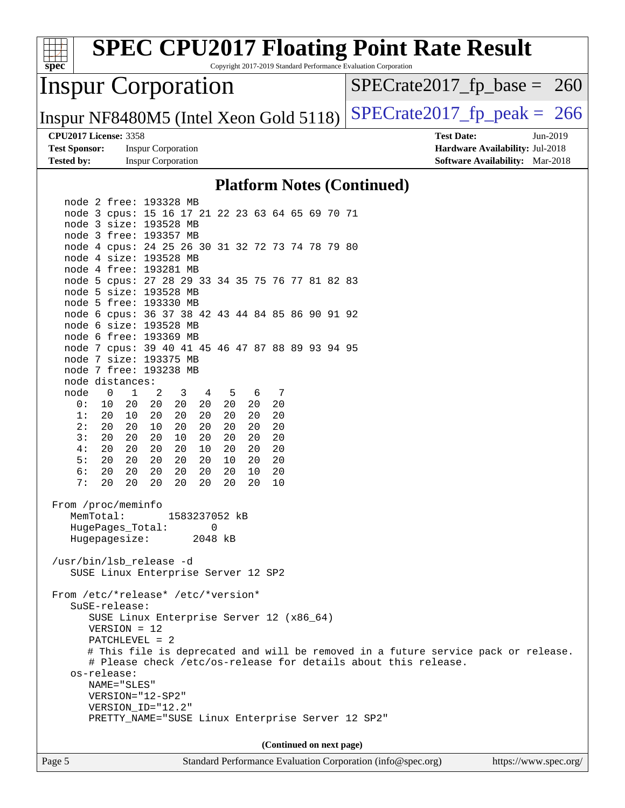| <b>SPEC CPU2017 Floating Point Rate Result</b><br>Copyright 2017-2019 Standard Performance Evaluation Corporation<br>spec <sup>®</sup> |                                        |
|----------------------------------------------------------------------------------------------------------------------------------------|----------------------------------------|
| <b>Inspur Corporation</b>                                                                                                              | $SPECrate2017_fp\_base = 260$          |
| Inspur NF8480M5 (Intel Xeon Gold 5118)                                                                                                 | $SPECTate2017$ _fp_peak = 266          |
| <b>CPU2017 License: 3358</b>                                                                                                           | <b>Test Date:</b><br>Jun-2019          |
| <b>Test Sponsor:</b><br><b>Inspur Corporation</b>                                                                                      | Hardware Availability: Jul-2018        |
| <b>Tested by:</b><br><b>Inspur Corporation</b>                                                                                         | <b>Software Availability:</b> Mar-2018 |
| <b>Platform Notes (Continued)</b>                                                                                                      |                                        |
| node 2 free: 193328 MB                                                                                                                 |                                        |
| node 3 cpus: 15 16 17 21 22 23 63 64 65 69 70 71                                                                                       |                                        |
| node 3 size: 193528 MB<br>node 3 free: 193357 MB                                                                                       |                                        |
| node 4 cpus: 24 25 26 30 31 32 72 73 74 78 79 80                                                                                       |                                        |
| node 4 size: 193528 MB                                                                                                                 |                                        |
| node 4 free: 193281 MB                                                                                                                 |                                        |
| node 5 cpus: 27 28 29 33 34 35 75 76 77 81 82 83                                                                                       |                                        |
| node 5 size: 193528 MB                                                                                                                 |                                        |
| node 5 free: 193330 MB                                                                                                                 |                                        |
| node 6 cpus: 36 37 38 42 43 44 84 85 86 90 91 92                                                                                       |                                        |
| node 6 size: 193528 MB<br>node 6 free: 193369 MB                                                                                       |                                        |
| node 7 cpus: 39 40 41 45 46 47 87 88 89 93 94 95                                                                                       |                                        |
| node 7 size: 193375 MB                                                                                                                 |                                        |
| node 7 free: 193238 MB                                                                                                                 |                                        |
| node distances:                                                                                                                        |                                        |
| 2<br>7<br>$\mathbf 0$<br>$\mathbf{1}$<br>3<br>node<br>4<br>5<br>6                                                                      |                                        |
| 0:<br>20<br>20<br>20<br>20<br>20<br>20<br>20<br>10                                                                                     |                                        |
| 1:<br>20<br>10<br>20<br>20<br>20<br>20<br>20<br>20<br>2:<br>20<br>20<br>20<br>20<br>20<br>20<br>20<br>10                               |                                        |
| 3:<br>20<br>20<br>20<br>20<br>20<br>10<br>20<br>20                                                                                     |                                        |
| 20<br>20<br>20<br>4 :<br>20<br>20<br>10<br>20<br>20                                                                                    |                                        |
| 5:<br>20<br>20<br>20<br>20<br>20<br>10<br>20<br>20                                                                                     |                                        |
| 6:<br>20<br>20<br>20<br>20<br>20<br>20<br>10<br>20                                                                                     |                                        |
| 20<br>20<br>20<br>20<br>20<br>7:<br>20<br>20<br>10                                                                                     |                                        |
| From /proc/meminfo<br>MemTotal:<br>1583237052 kB                                                                                       |                                        |
| $\Omega$<br>HugePages_Total:                                                                                                           |                                        |
| Hugepagesize:<br>2048 kB                                                                                                               |                                        |
| /usr/bin/lsb_release -d<br>SUSE Linux Enterprise Server 12 SP2                                                                         |                                        |
| From /etc/*release* /etc/*version*<br>$S \text{uSE-release:}$                                                                          |                                        |
| SUSE Linux Enterprise Server 12 (x86_64)                                                                                               |                                        |
| $VERSION = 12$                                                                                                                         |                                        |
| $PATCHLEVEL = 2$                                                                                                                       |                                        |
| # This file is deprecated and will be removed in a future service pack or release.                                                     |                                        |
| # Please check /etc/os-release for details about this release.                                                                         |                                        |
| os-release:<br>NAME="SLES"                                                                                                             |                                        |
| $VERSION = "12-SP2"$                                                                                                                   |                                        |
| VERSION_ID="12.2"                                                                                                                      |                                        |
| PRETTY_NAME="SUSE Linux Enterprise Server 12 SP2"                                                                                      |                                        |
|                                                                                                                                        |                                        |
| (Continued on next page)                                                                                                               |                                        |
|                                                                                                                                        |                                        |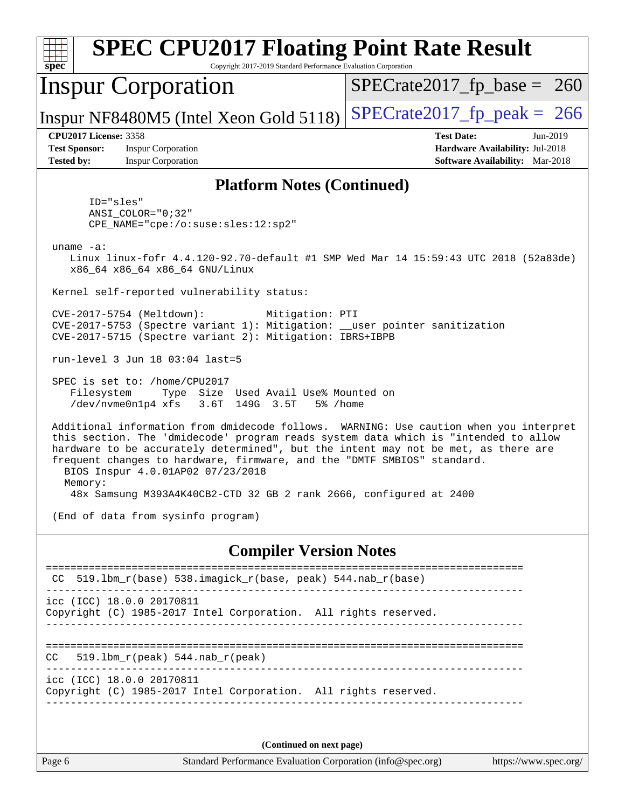| <b>SPEC CPU2017 Floating Point Rate Result</b><br>$s\overline{pec}$<br>Copyright 2017-2019 Standard Performance Evaluation Corporation                                                                                                                                                                                                                                                                                                                               |                                                                                                            |  |  |  |  |  |
|----------------------------------------------------------------------------------------------------------------------------------------------------------------------------------------------------------------------------------------------------------------------------------------------------------------------------------------------------------------------------------------------------------------------------------------------------------------------|------------------------------------------------------------------------------------------------------------|--|--|--|--|--|
| <b>Inspur Corporation</b>                                                                                                                                                                                                                                                                                                                                                                                                                                            | $SPECrate2017_fp\_base = 260$                                                                              |  |  |  |  |  |
| Inspur NF8480M5 (Intel Xeon Gold 5118)                                                                                                                                                                                                                                                                                                                                                                                                                               | $SPECTate2017$ _fp_peak = 266                                                                              |  |  |  |  |  |
| <b>CPU2017 License: 3358</b><br><b>Test Sponsor:</b><br><b>Inspur Corporation</b><br><b>Tested by:</b><br><b>Inspur Corporation</b>                                                                                                                                                                                                                                                                                                                                  | <b>Test Date:</b><br>Jun-2019<br>Hardware Availability: Jul-2018<br><b>Software Availability:</b> Mar-2018 |  |  |  |  |  |
| <b>Platform Notes (Continued)</b>                                                                                                                                                                                                                                                                                                                                                                                                                                    |                                                                                                            |  |  |  |  |  |
| ID="sles"<br>$ANSI$ _COLOR=" $0:32$ "<br>CPE_NAME="cpe:/o:suse:sles:12:sp2"                                                                                                                                                                                                                                                                                                                                                                                          |                                                                                                            |  |  |  |  |  |
| $uname -a$ :<br>Linux linux-fofr 4.4.120-92.70-default #1 SMP Wed Mar 14 15:59:43 UTC 2018 (52a83de)<br>x86_64 x86_64 x86_64 GNU/Linux                                                                                                                                                                                                                                                                                                                               |                                                                                                            |  |  |  |  |  |
| Kernel self-reported vulnerability status:                                                                                                                                                                                                                                                                                                                                                                                                                           |                                                                                                            |  |  |  |  |  |
| CVE-2017-5754 (Meltdown):<br>Mitigation: PTI<br>CVE-2017-5753 (Spectre variant 1): Mitigation: __user pointer sanitization<br>CVE-2017-5715 (Spectre variant 2): Mitigation: IBRS+IBPB                                                                                                                                                                                                                                                                               |                                                                                                            |  |  |  |  |  |
| run-level 3 Jun 18 03:04 last=5                                                                                                                                                                                                                                                                                                                                                                                                                                      |                                                                                                            |  |  |  |  |  |
| SPEC is set to: /home/CPU2017<br>Type Size Used Avail Use% Mounted on<br>Filesystem<br>/dev/nvme0n1p4 xfs<br>3.6T 149G 3.5T<br>5% /home                                                                                                                                                                                                                                                                                                                              |                                                                                                            |  |  |  |  |  |
| Additional information from dmidecode follows. WARNING: Use caution when you interpret<br>this section. The 'dmidecode' program reads system data which is "intended to allow<br>hardware to be accurately determined", but the intent may not be met, as there are<br>frequent changes to hardware, firmware, and the "DMTF SMBIOS" standard.<br>BIOS Inspur 4.0.01AP02 07/23/2018<br>Memory:<br>48x Samsung M393A4K40CB2-CTD 32 GB 2 rank 2666, configured at 2400 |                                                                                                            |  |  |  |  |  |
| (End of data from sysinfo program)                                                                                                                                                                                                                                                                                                                                                                                                                                   |                                                                                                            |  |  |  |  |  |
| <b>Compiler Version Notes</b>                                                                                                                                                                                                                                                                                                                                                                                                                                        |                                                                                                            |  |  |  |  |  |
| $519.1$ bm_r(base) 538.imagick_r(base, peak) 544.nab_r(base)                                                                                                                                                                                                                                                                                                                                                                                                         |                                                                                                            |  |  |  |  |  |
| icc (ICC) 18.0.0 20170811<br>Copyright (C) 1985-2017 Intel Corporation. All rights reserved.                                                                                                                                                                                                                                                                                                                                                                         |                                                                                                            |  |  |  |  |  |
| 519.1bm_r(peak) 544.nab_r(peak)<br>CC.                                                                                                                                                                                                                                                                                                                                                                                                                               |                                                                                                            |  |  |  |  |  |
| icc (ICC) 18.0.0 20170811<br>Copyright (C) 1985-2017 Intel Corporation. All rights reserved.                                                                                                                                                                                                                                                                                                                                                                         |                                                                                                            |  |  |  |  |  |
| (Continued on next page)                                                                                                                                                                                                                                                                                                                                                                                                                                             |                                                                                                            |  |  |  |  |  |
| Standard Performance Evaluation Corporation (info@spec.org)<br>Page 6                                                                                                                                                                                                                                                                                                                                                                                                | https://www.spec.org/                                                                                      |  |  |  |  |  |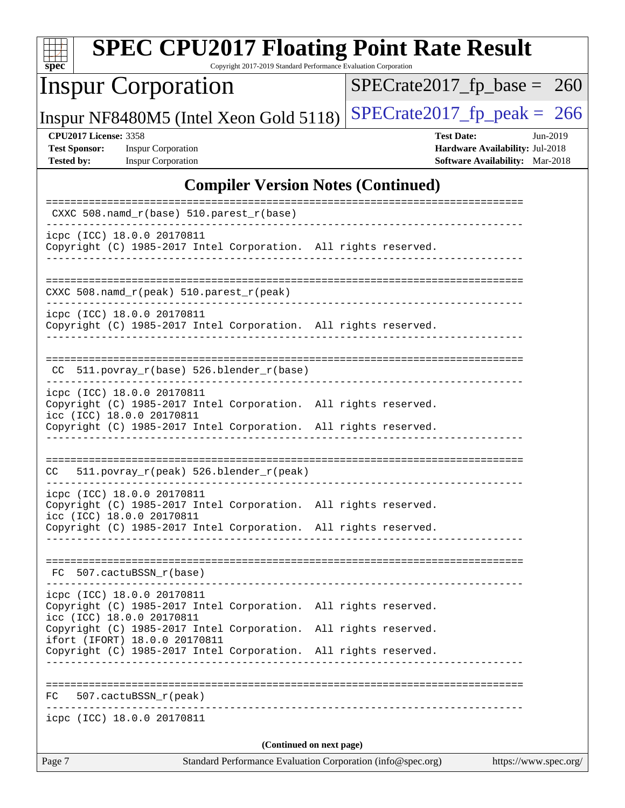| <b>SPEC CPU2017 Floating Point Rate Result</b><br>Copyright 2017-2019 Standard Performance Evaluation Corporation<br>$spec^*$                                                                 |                                                                                                     |
|-----------------------------------------------------------------------------------------------------------------------------------------------------------------------------------------------|-----------------------------------------------------------------------------------------------------|
| <b>Inspur Corporation</b>                                                                                                                                                                     | $SPECrate2017_fp\_base =$<br><b>260</b>                                                             |
| Inspur NF8480M5 (Intel Xeon Gold 5118)                                                                                                                                                        | $SPECTate2017$ _fp_peak = 266                                                                       |
| <b>CPU2017 License: 3358</b><br><b>Test Sponsor:</b><br><b>Inspur Corporation</b><br><b>Tested by:</b><br><b>Inspur Corporation</b>                                                           | <b>Test Date:</b><br>Jun-2019<br>Hardware Availability: Jul-2018<br>Software Availability: Mar-2018 |
| <b>Compiler Version Notes (Continued)</b>                                                                                                                                                     |                                                                                                     |
| CXXC 508.namd_r(base) 510.parest_r(base)                                                                                                                                                      |                                                                                                     |
| icpc (ICC) 18.0.0 20170811<br>Copyright (C) 1985-2017 Intel Corporation. All rights reserved.                                                                                                 |                                                                                                     |
| CXXC 508.namd_r(peak) 510.parest_r(peak)                                                                                                                                                      |                                                                                                     |
| icpc (ICC) 18.0.0 20170811<br>Copyright (C) 1985-2017 Intel Corporation. All rights reserved.                                                                                                 |                                                                                                     |
| CC 511.povray_r(base) 526.blender_r(base)                                                                                                                                                     |                                                                                                     |
| icpc (ICC) 18.0.0 20170811<br>Copyright (C) 1985-2017 Intel Corporation. All rights reserved.<br>icc (ICC) 18.0.0 20170811<br>Copyright (C) 1985-2017 Intel Corporation. All rights reserved. |                                                                                                     |
| 511.povray_r(peak) 526.blender_r(peak)<br>CC                                                                                                                                                  |                                                                                                     |
| icpc (ICC) 18.0.0 20170811<br>Copyright (C) 1985-2017 Intel Corporation. All rights reserved.<br>icc (ICC) 18.0.0 20170811<br>Copyright (C) 1985-2017 Intel Corporation. All rights reserved. |                                                                                                     |
| ------------------------<br>FC 507.cactuBSSN_r(base)                                                                                                                                          |                                                                                                     |
| --------------------------<br>icpc (ICC) 18.0.0 20170811<br>Copyright (C) 1985-2017 Intel Corporation. All rights reserved.<br>icc (ICC) 18.0.0 20170811                                      |                                                                                                     |
| Copyright (C) 1985-2017 Intel Corporation.<br>ifort (IFORT) 18.0.0 20170811<br>Copyright (C) 1985-2017 Intel Corporation. All rights reserved.                                                | All rights reserved.                                                                                |
| FC 507.cactuBSSN_r(peak)                                                                                                                                                                      |                                                                                                     |
| icpc (ICC) 18.0.0 20170811                                                                                                                                                                    |                                                                                                     |
| (Continued on next page)<br>Standard Performance Evaluation Corporation (info@spec.org)<br>Page 7                                                                                             | https://www.spec.org/                                                                               |
|                                                                                                                                                                                               |                                                                                                     |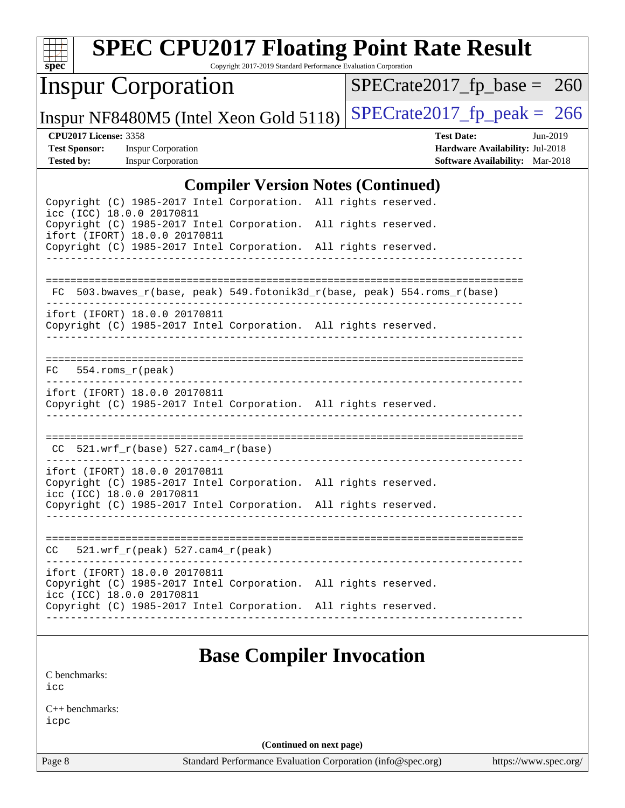| $SDec^*$                                                                  | <b>SPEC CPU2017 Floating Point Rate Result</b>                                                                                | Copyright 2017-2019 Standard Performance Evaluation Corporation |                               |                   |                                                                           |          |  |
|---------------------------------------------------------------------------|-------------------------------------------------------------------------------------------------------------------------------|-----------------------------------------------------------------|-------------------------------|-------------------|---------------------------------------------------------------------------|----------|--|
|                                                                           | <b>Inspur Corporation</b>                                                                                                     |                                                                 | $SPECrate2017_fp\_base = 260$ |                   |                                                                           |          |  |
|                                                                           | Inspur NF8480M5 (Intel Xeon Gold 5118)                                                                                        |                                                                 | $SPECrate2017_fp\_peak = 266$ |                   |                                                                           |          |  |
| <b>CPU2017 License: 3358</b><br><b>Test Sponsor:</b><br><b>Tested by:</b> | <b>Inspur Corporation</b><br><b>Inspur Corporation</b>                                                                        |                                                                 |                               | <b>Test Date:</b> | Hardware Availability: Jul-2018<br><b>Software Availability:</b> Mar-2018 | Jun-2019 |  |
|                                                                           |                                                                                                                               | <b>Compiler Version Notes (Continued)</b>                       |                               |                   |                                                                           |          |  |
|                                                                           | Copyright (C) 1985-2017 Intel Corporation. All rights reserved.<br>icc (ICC) 18.0.0 20170811                                  |                                                                 |                               |                   |                                                                           |          |  |
|                                                                           | Copyright (C) 1985-2017 Intel Corporation. All rights reserved.                                                               |                                                                 |                               |                   |                                                                           |          |  |
|                                                                           | ifort (IFORT) 18.0.0 20170811<br>Copyright (C) 1985-2017 Intel Corporation. All rights reserved.                              |                                                                 |                               |                   |                                                                           |          |  |
|                                                                           |                                                                                                                               |                                                                 |                               |                   |                                                                           |          |  |
| FC.                                                                       | 503.bwaves_r(base, peak) 549.fotonik3d_r(base, peak) 554.roms_r(base)                                                         |                                                                 |                               |                   |                                                                           |          |  |
|                                                                           | ifort (IFORT) 18.0.0 20170811<br>Copyright (C) 1985-2017 Intel Corporation. All rights reserved.                              |                                                                 |                               |                   |                                                                           |          |  |
|                                                                           |                                                                                                                               |                                                                 |                               |                   |                                                                           |          |  |
| FC.                                                                       | 554.roms_r(peak)                                                                                                              |                                                                 |                               |                   |                                                                           |          |  |
|                                                                           | ifort (IFORT) 18.0.0 20170811<br>Copyright (C) 1985-2017 Intel Corporation. All rights reserved.                              |                                                                 |                               |                   |                                                                           |          |  |
| CC.                                                                       |                                                                                                                               |                                                                 |                               |                   |                                                                           |          |  |
|                                                                           | ifort (IFORT) 18.0.0 20170811<br>Copyright (C) 1985-2017 Intel Corporation. All rights reserved.<br>icc (ICC) 18.0.0 20170811 |                                                                 |                               |                   |                                                                           |          |  |
|                                                                           | Copyright (C) 1985-2017 Intel Corporation. All rights reserved.                                                               |                                                                 |                               |                   |                                                                           |          |  |
| CC.                                                                       | $521.wrf_r(peak) 527.cam4_r(peak)$                                                                                            |                                                                 |                               |                   |                                                                           |          |  |
|                                                                           | ifort (IFORT) 18.0.0 20170811<br>Copyright (C) 1985-2017 Intel Corporation. All rights reserved.<br>icc (ICC) 18.0.0 20170811 |                                                                 |                               |                   |                                                                           |          |  |
|                                                                           | Copyright (C) 1985-2017 Intel Corporation. All rights reserved.                                                               | _________________________________                               |                               |                   |                                                                           |          |  |
|                                                                           |                                                                                                                               | <b>Base Compiler Invocation</b>                                 |                               |                   |                                                                           |          |  |
| C benchmarks:<br>icc                                                      |                                                                                                                               |                                                                 |                               |                   |                                                                           |          |  |
| $C_{++}$ benchmarks:<br>icpc                                              |                                                                                                                               |                                                                 |                               |                   |                                                                           |          |  |

**(Continued on next page)**

Page 8 Standard Performance Evaluation Corporation [\(info@spec.org\)](mailto:info@spec.org) <https://www.spec.org/>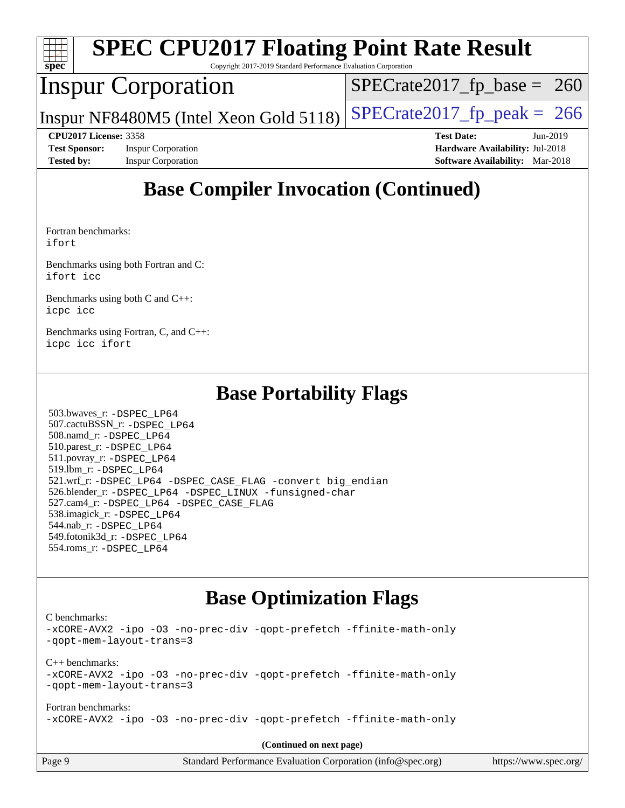| $spec^*$                     | <b>SPEC CPU2017 Floating Point Rate Result</b><br>Copyright 2017-2019 Standard Performance Evaluation Corporation |                                        |
|------------------------------|-------------------------------------------------------------------------------------------------------------------|----------------------------------------|
|                              | <b>Inspur Corporation</b>                                                                                         | $SPECrate2017_fp\_base = 260$          |
|                              | Inspur NF8480M5 (Intel Xeon Gold 5118)                                                                            | $SPECTate2017fr peak = 266$            |
| <b>CPU2017 License: 3358</b> |                                                                                                                   | <b>Test Date:</b><br>$Jun-2019$        |
| <b>Test Sponsor:</b>         | <b>Inspur Corporation</b>                                                                                         | Hardware Availability: Jul-2018        |
| <b>Tested by:</b>            | <b>Inspur Corporation</b>                                                                                         | <b>Software Availability:</b> Mar-2018 |
|                              |                                                                                                                   |                                        |

# **[Base Compiler Invocation \(Continued\)](http://www.spec.org/auto/cpu2017/Docs/result-fields.html#BaseCompilerInvocation)**

[Fortran benchmarks](http://www.spec.org/auto/cpu2017/Docs/result-fields.html#Fortranbenchmarks): [ifort](http://www.spec.org/cpu2017/results/res2019q3/cpu2017-20190620-15361.flags.html#user_FCbase_intel_ifort_18.0_8111460550e3ca792625aed983ce982f94888b8b503583aa7ba2b8303487b4d8a21a13e7191a45c5fd58ff318f48f9492884d4413fa793fd88dd292cad7027ca)

[Benchmarks using both Fortran and C](http://www.spec.org/auto/cpu2017/Docs/result-fields.html#BenchmarksusingbothFortranandC): [ifort](http://www.spec.org/cpu2017/results/res2019q3/cpu2017-20190620-15361.flags.html#user_CC_FCbase_intel_ifort_18.0_8111460550e3ca792625aed983ce982f94888b8b503583aa7ba2b8303487b4d8a21a13e7191a45c5fd58ff318f48f9492884d4413fa793fd88dd292cad7027ca) [icc](http://www.spec.org/cpu2017/results/res2019q3/cpu2017-20190620-15361.flags.html#user_CC_FCbase_intel_icc_18.0_66fc1ee009f7361af1fbd72ca7dcefbb700085f36577c54f309893dd4ec40d12360134090235512931783d35fd58c0460139e722d5067c5574d8eaf2b3e37e92)

[Benchmarks using both C and C++](http://www.spec.org/auto/cpu2017/Docs/result-fields.html#BenchmarksusingbothCandCXX): [icpc](http://www.spec.org/cpu2017/results/res2019q3/cpu2017-20190620-15361.flags.html#user_CC_CXXbase_intel_icpc_18.0_c510b6838c7f56d33e37e94d029a35b4a7bccf4766a728ee175e80a419847e808290a9b78be685c44ab727ea267ec2f070ec5dc83b407c0218cded6866a35d07) [icc](http://www.spec.org/cpu2017/results/res2019q3/cpu2017-20190620-15361.flags.html#user_CC_CXXbase_intel_icc_18.0_66fc1ee009f7361af1fbd72ca7dcefbb700085f36577c54f309893dd4ec40d12360134090235512931783d35fd58c0460139e722d5067c5574d8eaf2b3e37e92)

[Benchmarks using Fortran, C, and C++:](http://www.spec.org/auto/cpu2017/Docs/result-fields.html#BenchmarksusingFortranCandCXX) [icpc](http://www.spec.org/cpu2017/results/res2019q3/cpu2017-20190620-15361.flags.html#user_CC_CXX_FCbase_intel_icpc_18.0_c510b6838c7f56d33e37e94d029a35b4a7bccf4766a728ee175e80a419847e808290a9b78be685c44ab727ea267ec2f070ec5dc83b407c0218cded6866a35d07) [icc](http://www.spec.org/cpu2017/results/res2019q3/cpu2017-20190620-15361.flags.html#user_CC_CXX_FCbase_intel_icc_18.0_66fc1ee009f7361af1fbd72ca7dcefbb700085f36577c54f309893dd4ec40d12360134090235512931783d35fd58c0460139e722d5067c5574d8eaf2b3e37e92) [ifort](http://www.spec.org/cpu2017/results/res2019q3/cpu2017-20190620-15361.flags.html#user_CC_CXX_FCbase_intel_ifort_18.0_8111460550e3ca792625aed983ce982f94888b8b503583aa7ba2b8303487b4d8a21a13e7191a45c5fd58ff318f48f9492884d4413fa793fd88dd292cad7027ca)

## **[Base Portability Flags](http://www.spec.org/auto/cpu2017/Docs/result-fields.html#BasePortabilityFlags)**

 503.bwaves\_r: [-DSPEC\\_LP64](http://www.spec.org/cpu2017/results/res2019q3/cpu2017-20190620-15361.flags.html#suite_basePORTABILITY503_bwaves_r_DSPEC_LP64) 507.cactuBSSN\_r: [-DSPEC\\_LP64](http://www.spec.org/cpu2017/results/res2019q3/cpu2017-20190620-15361.flags.html#suite_basePORTABILITY507_cactuBSSN_r_DSPEC_LP64) 508.namd\_r: [-DSPEC\\_LP64](http://www.spec.org/cpu2017/results/res2019q3/cpu2017-20190620-15361.flags.html#suite_basePORTABILITY508_namd_r_DSPEC_LP64) 510.parest\_r: [-DSPEC\\_LP64](http://www.spec.org/cpu2017/results/res2019q3/cpu2017-20190620-15361.flags.html#suite_basePORTABILITY510_parest_r_DSPEC_LP64) 511.povray\_r: [-DSPEC\\_LP64](http://www.spec.org/cpu2017/results/res2019q3/cpu2017-20190620-15361.flags.html#suite_basePORTABILITY511_povray_r_DSPEC_LP64) 519.lbm\_r: [-DSPEC\\_LP64](http://www.spec.org/cpu2017/results/res2019q3/cpu2017-20190620-15361.flags.html#suite_basePORTABILITY519_lbm_r_DSPEC_LP64) 521.wrf\_r: [-DSPEC\\_LP64](http://www.spec.org/cpu2017/results/res2019q3/cpu2017-20190620-15361.flags.html#suite_basePORTABILITY521_wrf_r_DSPEC_LP64) [-DSPEC\\_CASE\\_FLAG](http://www.spec.org/cpu2017/results/res2019q3/cpu2017-20190620-15361.flags.html#b521.wrf_r_baseCPORTABILITY_DSPEC_CASE_FLAG) [-convert big\\_endian](http://www.spec.org/cpu2017/results/res2019q3/cpu2017-20190620-15361.flags.html#user_baseFPORTABILITY521_wrf_r_convert_big_endian_c3194028bc08c63ac5d04de18c48ce6d347e4e562e8892b8bdbdc0214820426deb8554edfa529a3fb25a586e65a3d812c835984020483e7e73212c4d31a38223) 526.blender\_r: [-DSPEC\\_LP64](http://www.spec.org/cpu2017/results/res2019q3/cpu2017-20190620-15361.flags.html#suite_basePORTABILITY526_blender_r_DSPEC_LP64) [-DSPEC\\_LINUX](http://www.spec.org/cpu2017/results/res2019q3/cpu2017-20190620-15361.flags.html#b526.blender_r_baseCPORTABILITY_DSPEC_LINUX) [-funsigned-char](http://www.spec.org/cpu2017/results/res2019q3/cpu2017-20190620-15361.flags.html#user_baseCPORTABILITY526_blender_r_force_uchar_40c60f00ab013830e2dd6774aeded3ff59883ba5a1fc5fc14077f794d777847726e2a5858cbc7672e36e1b067e7e5c1d9a74f7176df07886a243d7cc18edfe67) 527.cam4\_r: [-DSPEC\\_LP64](http://www.spec.org/cpu2017/results/res2019q3/cpu2017-20190620-15361.flags.html#suite_basePORTABILITY527_cam4_r_DSPEC_LP64) [-DSPEC\\_CASE\\_FLAG](http://www.spec.org/cpu2017/results/res2019q3/cpu2017-20190620-15361.flags.html#b527.cam4_r_baseCPORTABILITY_DSPEC_CASE_FLAG) 538.imagick\_r: [-DSPEC\\_LP64](http://www.spec.org/cpu2017/results/res2019q3/cpu2017-20190620-15361.flags.html#suite_basePORTABILITY538_imagick_r_DSPEC_LP64) 544.nab\_r: [-DSPEC\\_LP64](http://www.spec.org/cpu2017/results/res2019q3/cpu2017-20190620-15361.flags.html#suite_basePORTABILITY544_nab_r_DSPEC_LP64) 549.fotonik3d\_r: [-DSPEC\\_LP64](http://www.spec.org/cpu2017/results/res2019q3/cpu2017-20190620-15361.flags.html#suite_basePORTABILITY549_fotonik3d_r_DSPEC_LP64) 554.roms\_r: [-DSPEC\\_LP64](http://www.spec.org/cpu2017/results/res2019q3/cpu2017-20190620-15361.flags.html#suite_basePORTABILITY554_roms_r_DSPEC_LP64)

# **[Base Optimization Flags](http://www.spec.org/auto/cpu2017/Docs/result-fields.html#BaseOptimizationFlags)**

[C benchmarks](http://www.spec.org/auto/cpu2017/Docs/result-fields.html#Cbenchmarks):

[-xCORE-AVX2](http://www.spec.org/cpu2017/results/res2019q3/cpu2017-20190620-15361.flags.html#user_CCbase_f-xCORE-AVX2) [-ipo](http://www.spec.org/cpu2017/results/res2019q3/cpu2017-20190620-15361.flags.html#user_CCbase_f-ipo) [-O3](http://www.spec.org/cpu2017/results/res2019q3/cpu2017-20190620-15361.flags.html#user_CCbase_f-O3) [-no-prec-div](http://www.spec.org/cpu2017/results/res2019q3/cpu2017-20190620-15361.flags.html#user_CCbase_f-no-prec-div) [-qopt-prefetch](http://www.spec.org/cpu2017/results/res2019q3/cpu2017-20190620-15361.flags.html#user_CCbase_f-qopt-prefetch) [-ffinite-math-only](http://www.spec.org/cpu2017/results/res2019q3/cpu2017-20190620-15361.flags.html#user_CCbase_f_finite_math_only_cb91587bd2077682c4b38af759c288ed7c732db004271a9512da14a4f8007909a5f1427ecbf1a0fb78ff2a814402c6114ac565ca162485bbcae155b5e4258871) [-qopt-mem-layout-trans=3](http://www.spec.org/cpu2017/results/res2019q3/cpu2017-20190620-15361.flags.html#user_CCbase_f-qopt-mem-layout-trans_de80db37974c74b1f0e20d883f0b675c88c3b01e9d123adea9b28688d64333345fb62bc4a798493513fdb68f60282f9a726aa07f478b2f7113531aecce732043) [C++ benchmarks:](http://www.spec.org/auto/cpu2017/Docs/result-fields.html#CXXbenchmarks) [-xCORE-AVX2](http://www.spec.org/cpu2017/results/res2019q3/cpu2017-20190620-15361.flags.html#user_CXXbase_f-xCORE-AVX2) [-ipo](http://www.spec.org/cpu2017/results/res2019q3/cpu2017-20190620-15361.flags.html#user_CXXbase_f-ipo) [-O3](http://www.spec.org/cpu2017/results/res2019q3/cpu2017-20190620-15361.flags.html#user_CXXbase_f-O3) [-no-prec-div](http://www.spec.org/cpu2017/results/res2019q3/cpu2017-20190620-15361.flags.html#user_CXXbase_f-no-prec-div) [-qopt-prefetch](http://www.spec.org/cpu2017/results/res2019q3/cpu2017-20190620-15361.flags.html#user_CXXbase_f-qopt-prefetch) [-ffinite-math-only](http://www.spec.org/cpu2017/results/res2019q3/cpu2017-20190620-15361.flags.html#user_CXXbase_f_finite_math_only_cb91587bd2077682c4b38af759c288ed7c732db004271a9512da14a4f8007909a5f1427ecbf1a0fb78ff2a814402c6114ac565ca162485bbcae155b5e4258871) [-qopt-mem-layout-trans=3](http://www.spec.org/cpu2017/results/res2019q3/cpu2017-20190620-15361.flags.html#user_CXXbase_f-qopt-mem-layout-trans_de80db37974c74b1f0e20d883f0b675c88c3b01e9d123adea9b28688d64333345fb62bc4a798493513fdb68f60282f9a726aa07f478b2f7113531aecce732043) [Fortran benchmarks](http://www.spec.org/auto/cpu2017/Docs/result-fields.html#Fortranbenchmarks): [-xCORE-AVX2](http://www.spec.org/cpu2017/results/res2019q3/cpu2017-20190620-15361.flags.html#user_FCbase_f-xCORE-AVX2) [-ipo](http://www.spec.org/cpu2017/results/res2019q3/cpu2017-20190620-15361.flags.html#user_FCbase_f-ipo) [-O3](http://www.spec.org/cpu2017/results/res2019q3/cpu2017-20190620-15361.flags.html#user_FCbase_f-O3) [-no-prec-div](http://www.spec.org/cpu2017/results/res2019q3/cpu2017-20190620-15361.flags.html#user_FCbase_f-no-prec-div) [-qopt-prefetch](http://www.spec.org/cpu2017/results/res2019q3/cpu2017-20190620-15361.flags.html#user_FCbase_f-qopt-prefetch) [-ffinite-math-only](http://www.spec.org/cpu2017/results/res2019q3/cpu2017-20190620-15361.flags.html#user_FCbase_f_finite_math_only_cb91587bd2077682c4b38af759c288ed7c732db004271a9512da14a4f8007909a5f1427ecbf1a0fb78ff2a814402c6114ac565ca162485bbcae155b5e4258871)

**(Continued on next page)**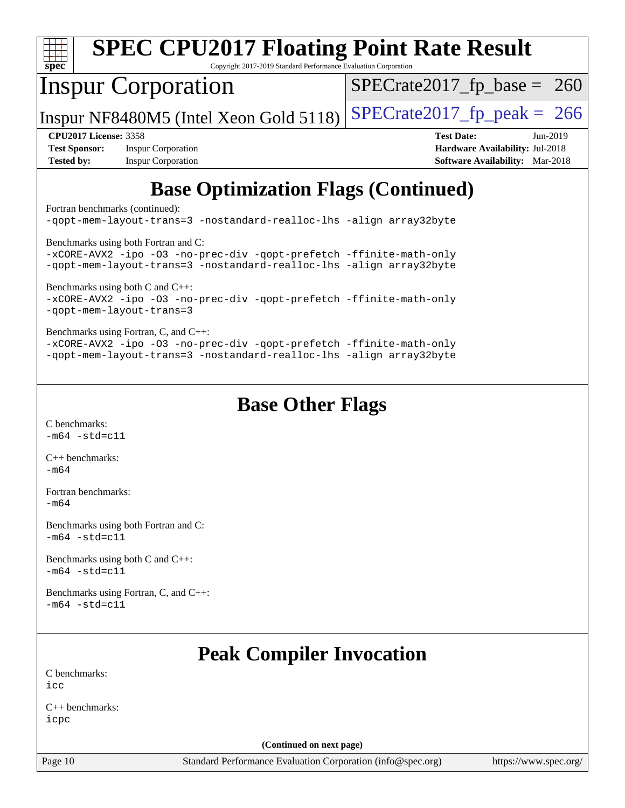| <b>SPEC CPU2017 Floating Point Rate Result</b><br>$spec^*$<br>Copyright 2017-2019 Standard Performance Evaluation Corporation                                                      |                                        |  |  |  |  |  |
|------------------------------------------------------------------------------------------------------------------------------------------------------------------------------------|----------------------------------------|--|--|--|--|--|
| <b>Inspur Corporation</b>                                                                                                                                                          | $SPECTate2017_fp\_base = 260$          |  |  |  |  |  |
| Inspur NF8480M5 (Intel Xeon Gold 5118)                                                                                                                                             | $SPECTate2017fr peak = 266$            |  |  |  |  |  |
| <b>CPU2017 License: 3358</b>                                                                                                                                                       | <b>Test Date:</b><br>$Jun-2019$        |  |  |  |  |  |
| <b>Test Sponsor:</b><br><b>Inspur Corporation</b>                                                                                                                                  | Hardware Availability: Jul-2018        |  |  |  |  |  |
| <b>Tested by:</b><br><b>Inspur Corporation</b>                                                                                                                                     | <b>Software Availability:</b> Mar-2018 |  |  |  |  |  |
| <b>Base Optimization Flags (Continued)</b><br>Fortran benchmarks (continued):<br>-qopt-mem-layout-trans=3 -nostandard-realloc-lhs -aliqn array32byte                               |                                        |  |  |  |  |  |
| Benchmarks using both Fortran and C:<br>-xCORE-AVX2 -ipo -03 -no-prec-div -qopt-prefetch -ffinite-math-only<br>-qopt-mem-layout-trans=3 -nostandard-realloc-lhs -align array32byte |                                        |  |  |  |  |  |
| Benchmarks using both C and C++:<br>-xCORE-AVX2 -ipo -03 -no-prec-div -qopt-prefetch -ffinite-math-only<br>-qopt-mem-layout-trans=3                                                |                                        |  |  |  |  |  |

[Benchmarks using Fortran, C, and C++:](http://www.spec.org/auto/cpu2017/Docs/result-fields.html#BenchmarksusingFortranCandCXX) [-xCORE-AVX2](http://www.spec.org/cpu2017/results/res2019q3/cpu2017-20190620-15361.flags.html#user_CC_CXX_FCbase_f-xCORE-AVX2) [-ipo](http://www.spec.org/cpu2017/results/res2019q3/cpu2017-20190620-15361.flags.html#user_CC_CXX_FCbase_f-ipo) [-O3](http://www.spec.org/cpu2017/results/res2019q3/cpu2017-20190620-15361.flags.html#user_CC_CXX_FCbase_f-O3) [-no-prec-div](http://www.spec.org/cpu2017/results/res2019q3/cpu2017-20190620-15361.flags.html#user_CC_CXX_FCbase_f-no-prec-div) [-qopt-prefetch](http://www.spec.org/cpu2017/results/res2019q3/cpu2017-20190620-15361.flags.html#user_CC_CXX_FCbase_f-qopt-prefetch) [-ffinite-math-only](http://www.spec.org/cpu2017/results/res2019q3/cpu2017-20190620-15361.flags.html#user_CC_CXX_FCbase_f_finite_math_only_cb91587bd2077682c4b38af759c288ed7c732db004271a9512da14a4f8007909a5f1427ecbf1a0fb78ff2a814402c6114ac565ca162485bbcae155b5e4258871) [-qopt-mem-layout-trans=3](http://www.spec.org/cpu2017/results/res2019q3/cpu2017-20190620-15361.flags.html#user_CC_CXX_FCbase_f-qopt-mem-layout-trans_de80db37974c74b1f0e20d883f0b675c88c3b01e9d123adea9b28688d64333345fb62bc4a798493513fdb68f60282f9a726aa07f478b2f7113531aecce732043) [-nostandard-realloc-lhs](http://www.spec.org/cpu2017/results/res2019q3/cpu2017-20190620-15361.flags.html#user_CC_CXX_FCbase_f_2003_std_realloc_82b4557e90729c0f113870c07e44d33d6f5a304b4f63d4c15d2d0f1fab99f5daaed73bdb9275d9ae411527f28b936061aa8b9c8f2d63842963b95c9dd6426b8a) [-align array32byte](http://www.spec.org/cpu2017/results/res2019q3/cpu2017-20190620-15361.flags.html#user_CC_CXX_FCbase_align_array32byte_b982fe038af199962ba9a80c053b8342c548c85b40b8e86eb3cc33dee0d7986a4af373ac2d51c3f7cf710a18d62fdce2948f201cd044323541f22fc0fffc51b6)

## **[Base Other Flags](http://www.spec.org/auto/cpu2017/Docs/result-fields.html#BaseOtherFlags)**

[C benchmarks](http://www.spec.org/auto/cpu2017/Docs/result-fields.html#Cbenchmarks):  $-m64 - std = c11$  $-m64 - std = c11$ 

[C++ benchmarks:](http://www.spec.org/auto/cpu2017/Docs/result-fields.html#CXXbenchmarks) [-m64](http://www.spec.org/cpu2017/results/res2019q3/cpu2017-20190620-15361.flags.html#user_CXXbase_intel_intel64_18.0_af43caccfc8ded86e7699f2159af6efc7655f51387b94da716254467f3c01020a5059329e2569e4053f409e7c9202a7efc638f7a6d1ffb3f52dea4a3e31d82ab)

[Fortran benchmarks](http://www.spec.org/auto/cpu2017/Docs/result-fields.html#Fortranbenchmarks): [-m64](http://www.spec.org/cpu2017/results/res2019q3/cpu2017-20190620-15361.flags.html#user_FCbase_intel_intel64_18.0_af43caccfc8ded86e7699f2159af6efc7655f51387b94da716254467f3c01020a5059329e2569e4053f409e7c9202a7efc638f7a6d1ffb3f52dea4a3e31d82ab)

[Benchmarks using both Fortran and C](http://www.spec.org/auto/cpu2017/Docs/result-fields.html#BenchmarksusingbothFortranandC):  $-m64 - std = c11$  $-m64 - std = c11$ 

[Benchmarks using both C and C++](http://www.spec.org/auto/cpu2017/Docs/result-fields.html#BenchmarksusingbothCandCXX):  $-m64 - std= c11$  $-m64 - std= c11$ 

[Benchmarks using Fortran, C, and C++:](http://www.spec.org/auto/cpu2017/Docs/result-fields.html#BenchmarksusingFortranCandCXX)  $-m64 - std= c11$  $-m64 - std= c11$ 

# **[Peak Compiler Invocation](http://www.spec.org/auto/cpu2017/Docs/result-fields.html#PeakCompilerInvocation)**

[C benchmarks](http://www.spec.org/auto/cpu2017/Docs/result-fields.html#Cbenchmarks): [icc](http://www.spec.org/cpu2017/results/res2019q3/cpu2017-20190620-15361.flags.html#user_CCpeak_intel_icc_18.0_66fc1ee009f7361af1fbd72ca7dcefbb700085f36577c54f309893dd4ec40d12360134090235512931783d35fd58c0460139e722d5067c5574d8eaf2b3e37e92)

[C++ benchmarks:](http://www.spec.org/auto/cpu2017/Docs/result-fields.html#CXXbenchmarks) [icpc](http://www.spec.org/cpu2017/results/res2019q3/cpu2017-20190620-15361.flags.html#user_CXXpeak_intel_icpc_18.0_c510b6838c7f56d33e37e94d029a35b4a7bccf4766a728ee175e80a419847e808290a9b78be685c44ab727ea267ec2f070ec5dc83b407c0218cded6866a35d07)

**(Continued on next page)**

Page 10 Standard Performance Evaluation Corporation [\(info@spec.org\)](mailto:info@spec.org) <https://www.spec.org/>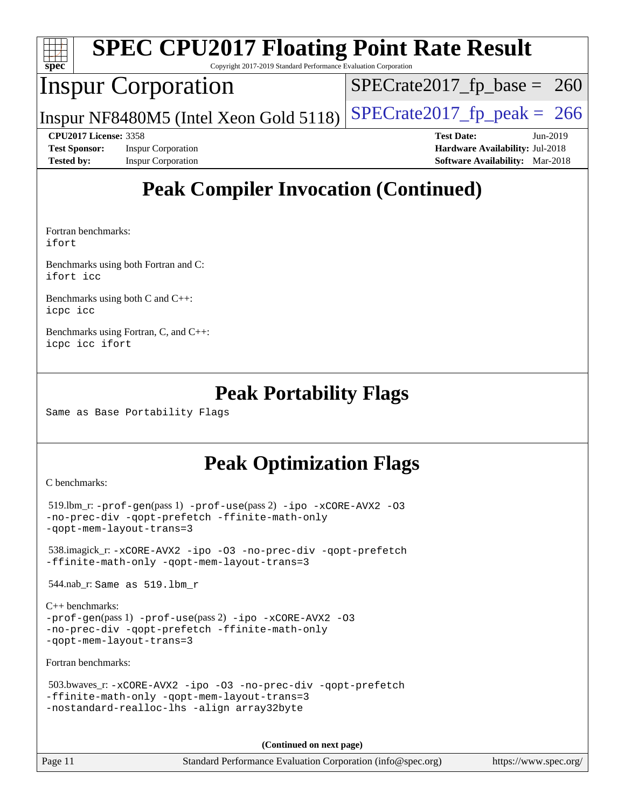| Spec                 |                              | <b>SPEC CPU2017 Floating Point Rate Result</b><br>Copyright 2017-2019 Standard Performance Evaluation Corporation |                                        |          |  |
|----------------------|------------------------------|-------------------------------------------------------------------------------------------------------------------|----------------------------------------|----------|--|
|                      |                              | <b>Inspur Corporation</b>                                                                                         | $SPECrate2017_fp\_base = 260$          |          |  |
|                      |                              | Inspur NF8480M5 (Intel Xeon Gold 5118)                                                                            | $SPECrate2017_fp\_peak = 266$          |          |  |
|                      | <b>CPU2017 License: 3358</b> |                                                                                                                   | <b>Test Date:</b>                      | Jun-2019 |  |
| <b>Test Sponsor:</b> |                              | <b>Inspur Corporation</b>                                                                                         | Hardware Availability: Jul-2018        |          |  |
| <b>Tested by:</b>    |                              | <b>Inspur Corporation</b>                                                                                         | <b>Software Availability:</b> Mar-2018 |          |  |
|                      |                              |                                                                                                                   |                                        |          |  |

# **[Peak Compiler Invocation \(Continued\)](http://www.spec.org/auto/cpu2017/Docs/result-fields.html#PeakCompilerInvocation)**

[Fortran benchmarks](http://www.spec.org/auto/cpu2017/Docs/result-fields.html#Fortranbenchmarks): [ifort](http://www.spec.org/cpu2017/results/res2019q3/cpu2017-20190620-15361.flags.html#user_FCpeak_intel_ifort_18.0_8111460550e3ca792625aed983ce982f94888b8b503583aa7ba2b8303487b4d8a21a13e7191a45c5fd58ff318f48f9492884d4413fa793fd88dd292cad7027ca)

[Benchmarks using both Fortran and C](http://www.spec.org/auto/cpu2017/Docs/result-fields.html#BenchmarksusingbothFortranandC): [ifort](http://www.spec.org/cpu2017/results/res2019q3/cpu2017-20190620-15361.flags.html#user_CC_FCpeak_intel_ifort_18.0_8111460550e3ca792625aed983ce982f94888b8b503583aa7ba2b8303487b4d8a21a13e7191a45c5fd58ff318f48f9492884d4413fa793fd88dd292cad7027ca) [icc](http://www.spec.org/cpu2017/results/res2019q3/cpu2017-20190620-15361.flags.html#user_CC_FCpeak_intel_icc_18.0_66fc1ee009f7361af1fbd72ca7dcefbb700085f36577c54f309893dd4ec40d12360134090235512931783d35fd58c0460139e722d5067c5574d8eaf2b3e37e92)

[Benchmarks using both C and C++](http://www.spec.org/auto/cpu2017/Docs/result-fields.html#BenchmarksusingbothCandCXX): [icpc](http://www.spec.org/cpu2017/results/res2019q3/cpu2017-20190620-15361.flags.html#user_CC_CXXpeak_intel_icpc_18.0_c510b6838c7f56d33e37e94d029a35b4a7bccf4766a728ee175e80a419847e808290a9b78be685c44ab727ea267ec2f070ec5dc83b407c0218cded6866a35d07) [icc](http://www.spec.org/cpu2017/results/res2019q3/cpu2017-20190620-15361.flags.html#user_CC_CXXpeak_intel_icc_18.0_66fc1ee009f7361af1fbd72ca7dcefbb700085f36577c54f309893dd4ec40d12360134090235512931783d35fd58c0460139e722d5067c5574d8eaf2b3e37e92)

[Benchmarks using Fortran, C, and C++:](http://www.spec.org/auto/cpu2017/Docs/result-fields.html#BenchmarksusingFortranCandCXX) [icpc](http://www.spec.org/cpu2017/results/res2019q3/cpu2017-20190620-15361.flags.html#user_CC_CXX_FCpeak_intel_icpc_18.0_c510b6838c7f56d33e37e94d029a35b4a7bccf4766a728ee175e80a419847e808290a9b78be685c44ab727ea267ec2f070ec5dc83b407c0218cded6866a35d07) [icc](http://www.spec.org/cpu2017/results/res2019q3/cpu2017-20190620-15361.flags.html#user_CC_CXX_FCpeak_intel_icc_18.0_66fc1ee009f7361af1fbd72ca7dcefbb700085f36577c54f309893dd4ec40d12360134090235512931783d35fd58c0460139e722d5067c5574d8eaf2b3e37e92) [ifort](http://www.spec.org/cpu2017/results/res2019q3/cpu2017-20190620-15361.flags.html#user_CC_CXX_FCpeak_intel_ifort_18.0_8111460550e3ca792625aed983ce982f94888b8b503583aa7ba2b8303487b4d8a21a13e7191a45c5fd58ff318f48f9492884d4413fa793fd88dd292cad7027ca)

## **[Peak Portability Flags](http://www.spec.org/auto/cpu2017/Docs/result-fields.html#PeakPortabilityFlags)**

Same as Base Portability Flags

# **[Peak Optimization Flags](http://www.spec.org/auto/cpu2017/Docs/result-fields.html#PeakOptimizationFlags)**

[C benchmarks](http://www.spec.org/auto/cpu2017/Docs/result-fields.html#Cbenchmarks):

```
 519.lbm_r: -prof-gen(pass 1) -prof-use(pass 2) -ipo -xCORE-AVX2 -O3
-no-prec-div -qopt-prefetch -ffinite-math-only
-qopt-mem-layout-trans=3
```
 538.imagick\_r: [-xCORE-AVX2](http://www.spec.org/cpu2017/results/res2019q3/cpu2017-20190620-15361.flags.html#user_peakCOPTIMIZE538_imagick_r_f-xCORE-AVX2) [-ipo](http://www.spec.org/cpu2017/results/res2019q3/cpu2017-20190620-15361.flags.html#user_peakCOPTIMIZE538_imagick_r_f-ipo) [-O3](http://www.spec.org/cpu2017/results/res2019q3/cpu2017-20190620-15361.flags.html#user_peakCOPTIMIZE538_imagick_r_f-O3) [-no-prec-div](http://www.spec.org/cpu2017/results/res2019q3/cpu2017-20190620-15361.flags.html#user_peakCOPTIMIZE538_imagick_r_f-no-prec-div) [-qopt-prefetch](http://www.spec.org/cpu2017/results/res2019q3/cpu2017-20190620-15361.flags.html#user_peakCOPTIMIZE538_imagick_r_f-qopt-prefetch) [-ffinite-math-only](http://www.spec.org/cpu2017/results/res2019q3/cpu2017-20190620-15361.flags.html#user_peakCOPTIMIZE538_imagick_r_f_finite_math_only_cb91587bd2077682c4b38af759c288ed7c732db004271a9512da14a4f8007909a5f1427ecbf1a0fb78ff2a814402c6114ac565ca162485bbcae155b5e4258871) [-qopt-mem-layout-trans=3](http://www.spec.org/cpu2017/results/res2019q3/cpu2017-20190620-15361.flags.html#user_peakCOPTIMIZE538_imagick_r_f-qopt-mem-layout-trans_de80db37974c74b1f0e20d883f0b675c88c3b01e9d123adea9b28688d64333345fb62bc4a798493513fdb68f60282f9a726aa07f478b2f7113531aecce732043)

544.nab\_r: Same as 519.lbm\_r

```
C++ benchmarks: 
-prof-gen(pass 1) -prof-use(pass 2) -ipo -xCORE-AVX2 -O3
-no-prec-div -qopt-prefetch -ffinite-math-only
-qopt-mem-layout-trans=3
```
[Fortran benchmarks](http://www.spec.org/auto/cpu2017/Docs/result-fields.html#Fortranbenchmarks):

```
 503.bwaves_r: -xCORE-AVX2 -ipo -O3 -no-prec-div -qopt-prefetch
-ffinite-math-only -qopt-mem-layout-trans=3
-nostandard-realloc-lhs -align array32byte
```
**(Continued on next page)**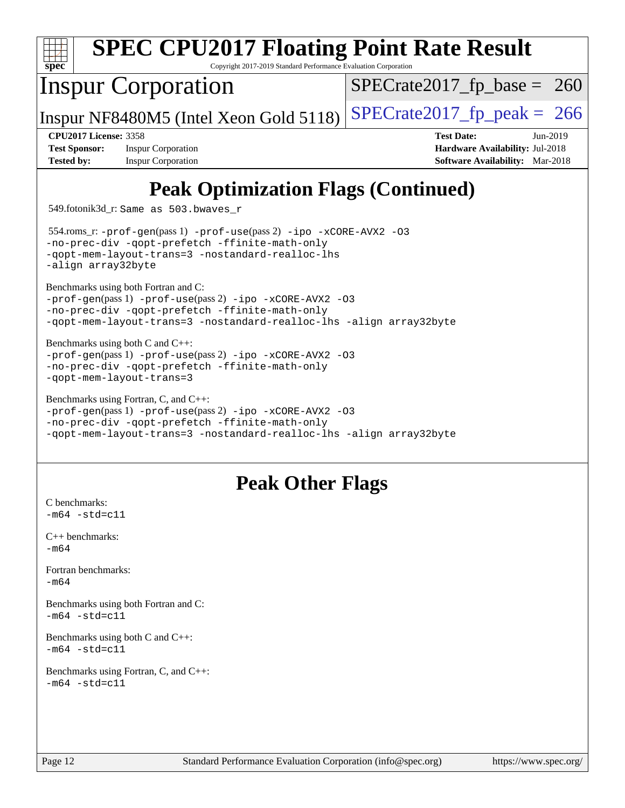| <b>SPEC CPU2017 Floating Point Rate Result</b><br>$spec^*$<br>Copyright 2017-2019 Standard Performance Evaluation Corporation                              |                                        |
|------------------------------------------------------------------------------------------------------------------------------------------------------------|----------------------------------------|
| <b>Inspur Corporation</b>                                                                                                                                  | $SPECTate2017$ _fp_base = 260          |
| Inspur NF8480M5 (Intel Xeon Gold 5118)                                                                                                                     | $SPECTate2017$ _fp_peak = 266          |
| <b>CPU2017 License: 3358</b>                                                                                                                               | <b>Test Date:</b><br>Jun-2019          |
| <b>Test Sponsor:</b><br><b>Inspur Corporation</b>                                                                                                          | Hardware Availability: Jul-2018        |
| <b>Inspur Corporation</b><br><b>Tested by:</b>                                                                                                             | <b>Software Availability:</b> Mar-2018 |
| <b>Peak Optimization Flags (Continued)</b><br>549.fotonik3d_r: Same as 503.bwaves_r<br>554.roms_r:-prof-gen(pass 1) -prof-use(pass 2) -ipo -xCORE-AVX2 -03 |                                        |

[-no-prec-div](http://www.spec.org/cpu2017/results/res2019q3/cpu2017-20190620-15361.flags.html#user_peakPASS1_FOPTIMIZEPASS2_FOPTIMIZE554_roms_r_f-no-prec-div) [-qopt-prefetch](http://www.spec.org/cpu2017/results/res2019q3/cpu2017-20190620-15361.flags.html#user_peakPASS1_FOPTIMIZEPASS2_FOPTIMIZE554_roms_r_f-qopt-prefetch) [-ffinite-math-only](http://www.spec.org/cpu2017/results/res2019q3/cpu2017-20190620-15361.flags.html#user_peakPASS1_FOPTIMIZEPASS2_FOPTIMIZE554_roms_r_f_finite_math_only_cb91587bd2077682c4b38af759c288ed7c732db004271a9512da14a4f8007909a5f1427ecbf1a0fb78ff2a814402c6114ac565ca162485bbcae155b5e4258871) [-qopt-mem-layout-trans=3](http://www.spec.org/cpu2017/results/res2019q3/cpu2017-20190620-15361.flags.html#user_peakPASS1_FOPTIMIZEPASS2_FOPTIMIZE554_roms_r_f-qopt-mem-layout-trans_de80db37974c74b1f0e20d883f0b675c88c3b01e9d123adea9b28688d64333345fb62bc4a798493513fdb68f60282f9a726aa07f478b2f7113531aecce732043) [-nostandard-realloc-lhs](http://www.spec.org/cpu2017/results/res2019q3/cpu2017-20190620-15361.flags.html#user_peakEXTRA_FOPTIMIZE554_roms_r_f_2003_std_realloc_82b4557e90729c0f113870c07e44d33d6f5a304b4f63d4c15d2d0f1fab99f5daaed73bdb9275d9ae411527f28b936061aa8b9c8f2d63842963b95c9dd6426b8a) [-align array32byte](http://www.spec.org/cpu2017/results/res2019q3/cpu2017-20190620-15361.flags.html#user_peakEXTRA_FOPTIMIZE554_roms_r_align_array32byte_b982fe038af199962ba9a80c053b8342c548c85b40b8e86eb3cc33dee0d7986a4af373ac2d51c3f7cf710a18d62fdce2948f201cd044323541f22fc0fffc51b6) [Benchmarks using both Fortran and C](http://www.spec.org/auto/cpu2017/Docs/result-fields.html#BenchmarksusingbothFortranandC): [-prof-gen](http://www.spec.org/cpu2017/results/res2019q3/cpu2017-20190620-15361.flags.html#user_CC_FCpeak_prof_gen_5aa4926d6013ddb2a31985c654b3eb18169fc0c6952a63635c234f711e6e63dd76e94ad52365559451ec499a2cdb89e4dc58ba4c67ef54ca681ffbe1461d6b36)(pass 1) [-prof-use](http://www.spec.org/cpu2017/results/res2019q3/cpu2017-20190620-15361.flags.html#user_CC_FCpeak_prof_use_1a21ceae95f36a2b53c25747139a6c16ca95bd9def2a207b4f0849963b97e94f5260e30a0c64f4bb623698870e679ca08317ef8150905d41bd88c6f78df73f19)(pass 2) [-ipo](http://www.spec.org/cpu2017/results/res2019q3/cpu2017-20190620-15361.flags.html#user_CC_FCpeak_f-ipo) [-xCORE-AVX2](http://www.spec.org/cpu2017/results/res2019q3/cpu2017-20190620-15361.flags.html#user_CC_FCpeak_f-xCORE-AVX2) [-O3](http://www.spec.org/cpu2017/results/res2019q3/cpu2017-20190620-15361.flags.html#user_CC_FCpeak_f-O3) [-no-prec-div](http://www.spec.org/cpu2017/results/res2019q3/cpu2017-20190620-15361.flags.html#user_CC_FCpeak_f-no-prec-div) [-qopt-prefetch](http://www.spec.org/cpu2017/results/res2019q3/cpu2017-20190620-15361.flags.html#user_CC_FCpeak_f-qopt-prefetch) [-ffinite-math-only](http://www.spec.org/cpu2017/results/res2019q3/cpu2017-20190620-15361.flags.html#user_CC_FCpeak_f_finite_math_only_cb91587bd2077682c4b38af759c288ed7c732db004271a9512da14a4f8007909a5f1427ecbf1a0fb78ff2a814402c6114ac565ca162485bbcae155b5e4258871) [-qopt-mem-layout-trans=3](http://www.spec.org/cpu2017/results/res2019q3/cpu2017-20190620-15361.flags.html#user_CC_FCpeak_f-qopt-mem-layout-trans_de80db37974c74b1f0e20d883f0b675c88c3b01e9d123adea9b28688d64333345fb62bc4a798493513fdb68f60282f9a726aa07f478b2f7113531aecce732043) [-nostandard-realloc-lhs](http://www.spec.org/cpu2017/results/res2019q3/cpu2017-20190620-15361.flags.html#user_CC_FCpeak_f_2003_std_realloc_82b4557e90729c0f113870c07e44d33d6f5a304b4f63d4c15d2d0f1fab99f5daaed73bdb9275d9ae411527f28b936061aa8b9c8f2d63842963b95c9dd6426b8a) [-align array32byte](http://www.spec.org/cpu2017/results/res2019q3/cpu2017-20190620-15361.flags.html#user_CC_FCpeak_align_array32byte_b982fe038af199962ba9a80c053b8342c548c85b40b8e86eb3cc33dee0d7986a4af373ac2d51c3f7cf710a18d62fdce2948f201cd044323541f22fc0fffc51b6)

[Benchmarks using both C and C++](http://www.spec.org/auto/cpu2017/Docs/result-fields.html#BenchmarksusingbothCandCXX): [-prof-gen](http://www.spec.org/cpu2017/results/res2019q3/cpu2017-20190620-15361.flags.html#user_CC_CXXpeak_prof_gen_5aa4926d6013ddb2a31985c654b3eb18169fc0c6952a63635c234f711e6e63dd76e94ad52365559451ec499a2cdb89e4dc58ba4c67ef54ca681ffbe1461d6b36)(pass 1) [-prof-use](http://www.spec.org/cpu2017/results/res2019q3/cpu2017-20190620-15361.flags.html#user_CC_CXXpeak_prof_use_1a21ceae95f36a2b53c25747139a6c16ca95bd9def2a207b4f0849963b97e94f5260e30a0c64f4bb623698870e679ca08317ef8150905d41bd88c6f78df73f19)(pass 2) [-ipo](http://www.spec.org/cpu2017/results/res2019q3/cpu2017-20190620-15361.flags.html#user_CC_CXXpeak_f-ipo) [-xCORE-AVX2](http://www.spec.org/cpu2017/results/res2019q3/cpu2017-20190620-15361.flags.html#user_CC_CXXpeak_f-xCORE-AVX2) [-O3](http://www.spec.org/cpu2017/results/res2019q3/cpu2017-20190620-15361.flags.html#user_CC_CXXpeak_f-O3) [-no-prec-div](http://www.spec.org/cpu2017/results/res2019q3/cpu2017-20190620-15361.flags.html#user_CC_CXXpeak_f-no-prec-div) [-qopt-prefetch](http://www.spec.org/cpu2017/results/res2019q3/cpu2017-20190620-15361.flags.html#user_CC_CXXpeak_f-qopt-prefetch) [-ffinite-math-only](http://www.spec.org/cpu2017/results/res2019q3/cpu2017-20190620-15361.flags.html#user_CC_CXXpeak_f_finite_math_only_cb91587bd2077682c4b38af759c288ed7c732db004271a9512da14a4f8007909a5f1427ecbf1a0fb78ff2a814402c6114ac565ca162485bbcae155b5e4258871) [-qopt-mem-layout-trans=3](http://www.spec.org/cpu2017/results/res2019q3/cpu2017-20190620-15361.flags.html#user_CC_CXXpeak_f-qopt-mem-layout-trans_de80db37974c74b1f0e20d883f0b675c88c3b01e9d123adea9b28688d64333345fb62bc4a798493513fdb68f60282f9a726aa07f478b2f7113531aecce732043)

[Benchmarks using Fortran, C, and C++:](http://www.spec.org/auto/cpu2017/Docs/result-fields.html#BenchmarksusingFortranCandCXX) [-prof-gen](http://www.spec.org/cpu2017/results/res2019q3/cpu2017-20190620-15361.flags.html#user_CC_CXX_FCpeak_prof_gen_5aa4926d6013ddb2a31985c654b3eb18169fc0c6952a63635c234f711e6e63dd76e94ad52365559451ec499a2cdb89e4dc58ba4c67ef54ca681ffbe1461d6b36)(pass 1) [-prof-use](http://www.spec.org/cpu2017/results/res2019q3/cpu2017-20190620-15361.flags.html#user_CC_CXX_FCpeak_prof_use_1a21ceae95f36a2b53c25747139a6c16ca95bd9def2a207b4f0849963b97e94f5260e30a0c64f4bb623698870e679ca08317ef8150905d41bd88c6f78df73f19)(pass 2) [-ipo](http://www.spec.org/cpu2017/results/res2019q3/cpu2017-20190620-15361.flags.html#user_CC_CXX_FCpeak_f-ipo) [-xCORE-AVX2](http://www.spec.org/cpu2017/results/res2019q3/cpu2017-20190620-15361.flags.html#user_CC_CXX_FCpeak_f-xCORE-AVX2) [-O3](http://www.spec.org/cpu2017/results/res2019q3/cpu2017-20190620-15361.flags.html#user_CC_CXX_FCpeak_f-O3) [-no-prec-div](http://www.spec.org/cpu2017/results/res2019q3/cpu2017-20190620-15361.flags.html#user_CC_CXX_FCpeak_f-no-prec-div) [-qopt-prefetch](http://www.spec.org/cpu2017/results/res2019q3/cpu2017-20190620-15361.flags.html#user_CC_CXX_FCpeak_f-qopt-prefetch) [-ffinite-math-only](http://www.spec.org/cpu2017/results/res2019q3/cpu2017-20190620-15361.flags.html#user_CC_CXX_FCpeak_f_finite_math_only_cb91587bd2077682c4b38af759c288ed7c732db004271a9512da14a4f8007909a5f1427ecbf1a0fb78ff2a814402c6114ac565ca162485bbcae155b5e4258871) [-qopt-mem-layout-trans=3](http://www.spec.org/cpu2017/results/res2019q3/cpu2017-20190620-15361.flags.html#user_CC_CXX_FCpeak_f-qopt-mem-layout-trans_de80db37974c74b1f0e20d883f0b675c88c3b01e9d123adea9b28688d64333345fb62bc4a798493513fdb68f60282f9a726aa07f478b2f7113531aecce732043) [-nostandard-realloc-lhs](http://www.spec.org/cpu2017/results/res2019q3/cpu2017-20190620-15361.flags.html#user_CC_CXX_FCpeak_f_2003_std_realloc_82b4557e90729c0f113870c07e44d33d6f5a304b4f63d4c15d2d0f1fab99f5daaed73bdb9275d9ae411527f28b936061aa8b9c8f2d63842963b95c9dd6426b8a) [-align array32byte](http://www.spec.org/cpu2017/results/res2019q3/cpu2017-20190620-15361.flags.html#user_CC_CXX_FCpeak_align_array32byte_b982fe038af199962ba9a80c053b8342c548c85b40b8e86eb3cc33dee0d7986a4af373ac2d51c3f7cf710a18d62fdce2948f201cd044323541f22fc0fffc51b6)

# **[Peak Other Flags](http://www.spec.org/auto/cpu2017/Docs/result-fields.html#PeakOtherFlags)**

 $-m64 - std= c11$  $-m64 - std= c11$ [C++ benchmarks:](http://www.spec.org/auto/cpu2017/Docs/result-fields.html#CXXbenchmarks) [-m64](http://www.spec.org/cpu2017/results/res2019q3/cpu2017-20190620-15361.flags.html#user_CXXpeak_intel_intel64_18.0_af43caccfc8ded86e7699f2159af6efc7655f51387b94da716254467f3c01020a5059329e2569e4053f409e7c9202a7efc638f7a6d1ffb3f52dea4a3e31d82ab) [Fortran benchmarks](http://www.spec.org/auto/cpu2017/Docs/result-fields.html#Fortranbenchmarks): [-m64](http://www.spec.org/cpu2017/results/res2019q3/cpu2017-20190620-15361.flags.html#user_FCpeak_intel_intel64_18.0_af43caccfc8ded86e7699f2159af6efc7655f51387b94da716254467f3c01020a5059329e2569e4053f409e7c9202a7efc638f7a6d1ffb3f52dea4a3e31d82ab) [Benchmarks using both Fortran and C](http://www.spec.org/auto/cpu2017/Docs/result-fields.html#BenchmarksusingbothFortranandC):  $-m64 - std= c11$  $-m64 - std= c11$ [Benchmarks using both C and C++](http://www.spec.org/auto/cpu2017/Docs/result-fields.html#BenchmarksusingbothCandCXX):  $-m64 - std = c11$  $-m64 - std = c11$ [Benchmarks using Fortran, C, and C++:](http://www.spec.org/auto/cpu2017/Docs/result-fields.html#BenchmarksusingFortranCandCXX)  $-m64 - std = c11$  $-m64 - std = c11$ 

[C benchmarks](http://www.spec.org/auto/cpu2017/Docs/result-fields.html#Cbenchmarks):